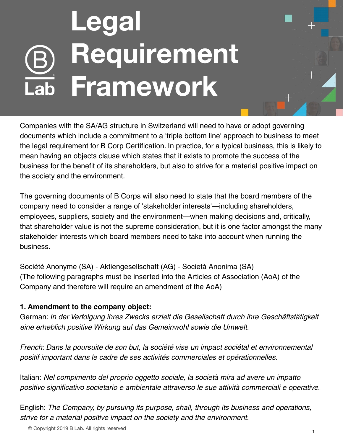## **Legal Requirement Framework**

Companies with the SA/AG structure in Switzerland will need to have or adopt governing documents which include a commitment to a 'triple bottom line' approach to business to meet the legal requirement for B Corp Certification. In practice, for a typical business, this is likely to mean having an objects clause which states that it exists to promote the success of the business for the benefit of its shareholders, but also to strive for a material positive impact on the society and the environment.

The governing documents of B Corps will also need to state that the board members of the company need to consider a range of 'stakeholder interests'—including shareholders, employees, suppliers, society and the environment—when making decisions and, critically, that shareholder value is not the supreme consideration, but it is one factor amongst the many stakeholder interests which board members need to take into account when running the business.

Société Anonyme (SA) - Aktiengesellschaft (AG) - Società Anonima (SA) (The following paragraphs must be inserted into the Articles of Association (AoA) of the Company and therefore will require an amendment of the AoA)

## **1. Amendment to the company object:**

German: In der Verfolgung ihres Zwecks erzielt die Gesellschaft durch ihre Geschäftstätigkeit eine erheblich positive Wirkung auf das Gemeinwohl sowie die Umwelt.

French: Dans la poursuite de son but, la société vise un impact sociétal et environnemental positif important dans le cadre de ses activités commerciales et opérationnelles.

Italian: Nel compimento del proprio oggetto sociale, la società mira ad avere un impatto positivo significativo societario e ambientale attraverso le sue attività commerciali e operative.

English: The Company, by pursuing its purpose, shall, through its business and operations, strive for a material positive impact on the society and the environment.

© Copyright 2019 B Lab. All rights reserved